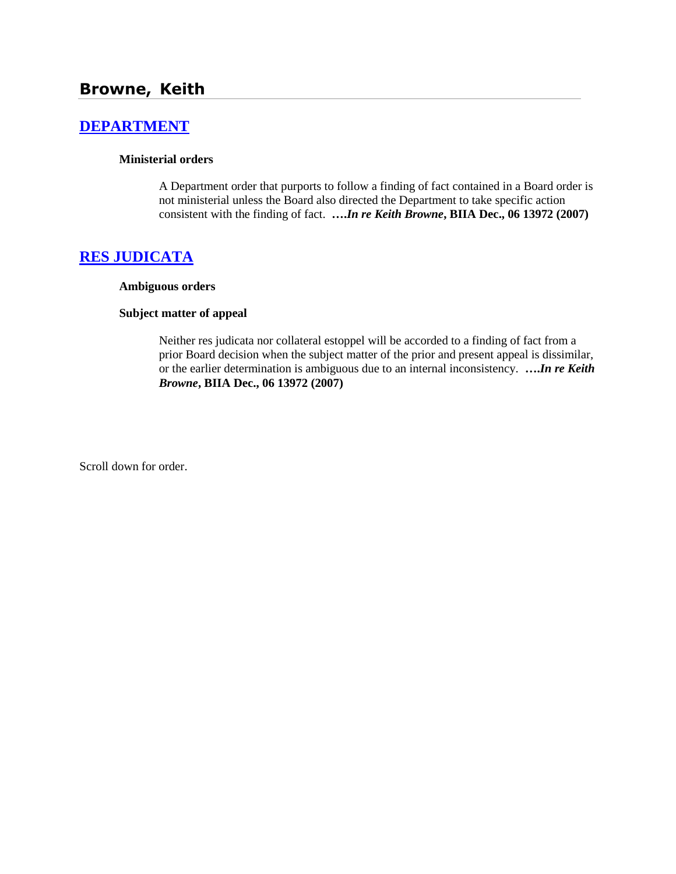# **[DEPARTMENT](http://www.biia.wa.gov/SDSubjectIndex.html#DEPARTMENT)**

#### **Ministerial orders**

A Department order that purports to follow a finding of fact contained in a Board order is not ministerial unless the Board also directed the Department to take specific action consistent with the finding of fact. **….***In re Keith Browne***, BIIA Dec., 06 13972 (2007)**

## **[RES JUDICATA](http://www.biia.wa.gov/SDSubjectIndex.html#RES_JUDICATA)**

#### **Ambiguous orders**

#### **Subject matter of appeal**

Neither res judicata nor collateral estoppel will be accorded to a finding of fact from a prior Board decision when the subject matter of the prior and present appeal is dissimilar, or the earlier determination is ambiguous due to an internal inconsistency. **….***In re Keith Browne***, BIIA Dec., 06 13972 (2007)**

Scroll down for order.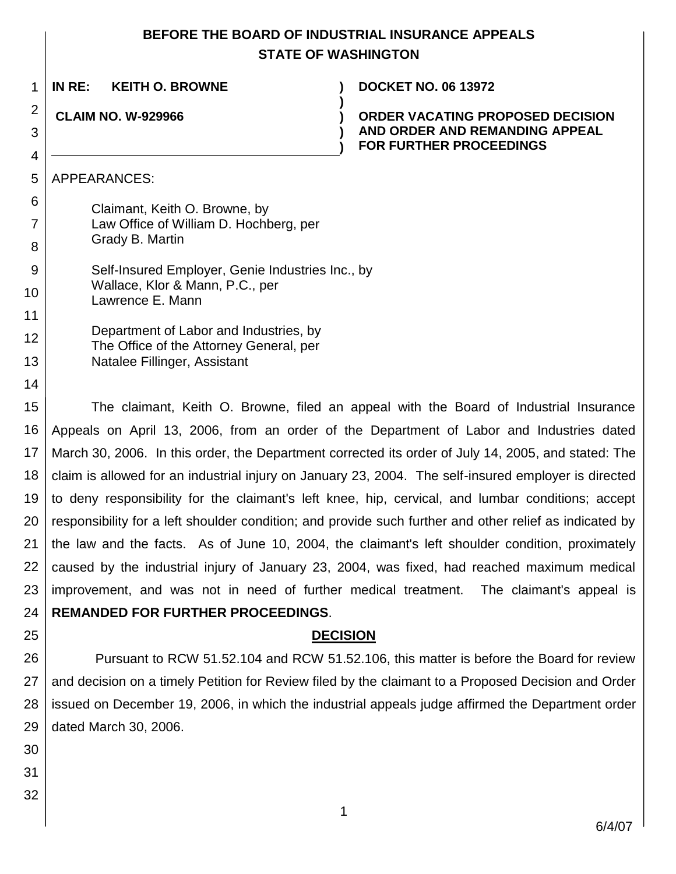# **BEFORE THE BOARD OF INDUSTRIAL INSURANCE APPEALS STATE OF WASHINGTON**

**)**

**) )**

1 **IN RE: KEITH O. BROWNE ) DOCKET NO. 06 13972**

**CLAIM NO. W-929966 )**

**ORDER VACATING PROPOSED DECISION AND ORDER AND REMANDING APPEAL FOR FURTHER PROCEEDINGS**

5 APPEARANCES:

2

3

4

11

14

| 6 | Claimant, Keith O. Browne, by          |
|---|----------------------------------------|
| 7 | Law Office of William D. Hochberg, per |
| 8 | Grady B. Martin                        |

| 9               | Self-Insured Employer, Genie Industries Inc., by |
|-----------------|--------------------------------------------------|
| 10 <sup>1</sup> | Wallace, Klor & Mann, P.C., per                  |
|                 | Lawrence E. Mann                                 |

12 13 Department of Labor and Industries, by The Office of the Attorney General, per Natalee Fillinger, Assistant

15 16 17 18 19 20 21 22 23 24 The claimant, Keith O. Browne, filed an appeal with the Board of Industrial Insurance Appeals on April 13, 2006, from an order of the Department of Labor and Industries dated March 30, 2006. In this order, the Department corrected its order of July 14, 2005, and stated: The claim is allowed for an industrial injury on January 23, 2004. The self-insured employer is directed to deny responsibility for the claimant's left knee, hip, cervical, and lumbar conditions; accept responsibility for a left shoulder condition; and provide such further and other relief as indicated by the law and the facts. As of June 10, 2004, the claimant's left shoulder condition, proximately caused by the industrial injury of January 23, 2004, was fixed, had reached maximum medical improvement, and was not in need of further medical treatment. The claimant's appeal is **REMANDED FOR FURTHER PROCEEDINGS**.

25

# **DECISION**

26 27 28 29 Pursuant to RCW 51.52.104 and RCW 51.52.106, this matter is before the Board for review and decision on a timely Petition for Review filed by the claimant to a Proposed Decision and Order issued on December 19, 2006, in which the industrial appeals judge affirmed the Department order dated March 30, 2006.

- 30
- 31
- 32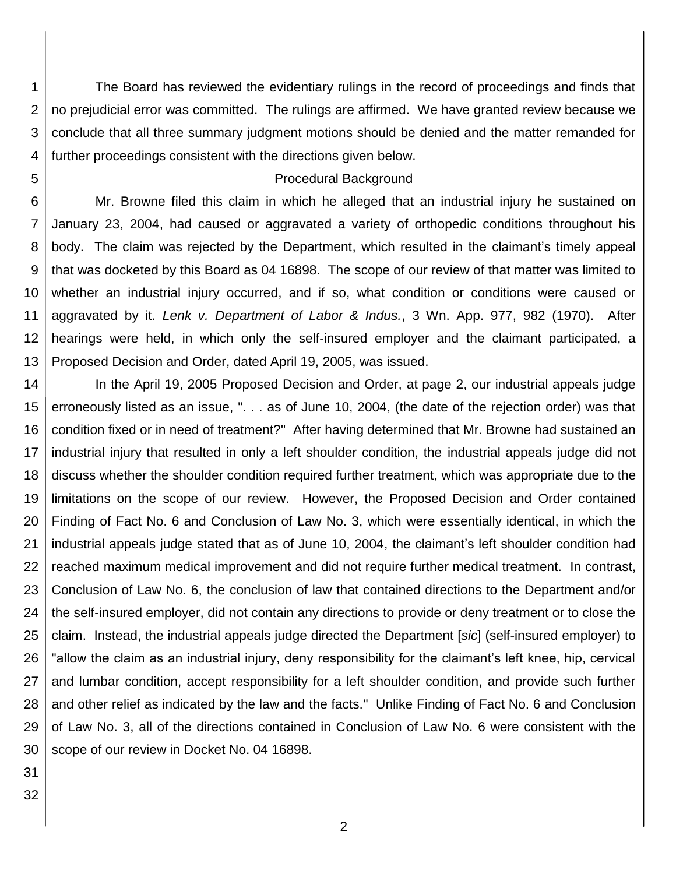1 2 3 4 The Board has reviewed the evidentiary rulings in the record of proceedings and finds that no prejudicial error was committed. The rulings are affirmed. We have granted review because we conclude that all three summary judgment motions should be denied and the matter remanded for further proceedings consistent with the directions given below.

### Procedural Background

6 7 8 9 10 11 12 13 Mr. Browne filed this claim in which he alleged that an industrial injury he sustained on January 23, 2004, had caused or aggravated a variety of orthopedic conditions throughout his body. The claim was rejected by the Department, which resulted in the claimant's timely appeal that was docketed by this Board as 04 16898. The scope of our review of that matter was limited to whether an industrial injury occurred, and if so, what condition or conditions were caused or aggravated by it. *Lenk v. Department of Labor & Indus.*, 3 Wn. App. 977, 982 (1970). After hearings were held, in which only the self-insured employer and the claimant participated, a Proposed Decision and Order, dated April 19, 2005, was issued.

14 15 16 17 18 19 20 21 22 23 24 25 26 27 28 29 30 In the April 19, 2005 Proposed Decision and Order, at page 2, our industrial appeals judge erroneously listed as an issue, ". . . as of June 10, 2004, (the date of the rejection order) was that condition fixed or in need of treatment?" After having determined that Mr. Browne had sustained an industrial injury that resulted in only a left shoulder condition, the industrial appeals judge did not discuss whether the shoulder condition required further treatment, which was appropriate due to the limitations on the scope of our review. However, the Proposed Decision and Order contained Finding of Fact No. 6 and Conclusion of Law No. 3, which were essentially identical, in which the industrial appeals judge stated that as of June 10, 2004, the claimant's left shoulder condition had reached maximum medical improvement and did not require further medical treatment. In contrast, Conclusion of Law No. 6, the conclusion of law that contained directions to the Department and/or the self-insured employer, did not contain any directions to provide or deny treatment or to close the claim. Instead, the industrial appeals judge directed the Department [*sic*] (self-insured employer) to "allow the claim as an industrial injury, deny responsibility for the claimant's left knee, hip, cervical and lumbar condition, accept responsibility for a left shoulder condition, and provide such further and other relief as indicated by the law and the facts." Unlike Finding of Fact No. 6 and Conclusion of Law No. 3, all of the directions contained in Conclusion of Law No. 6 were consistent with the scope of our review in Docket No. 04 16898.

31

5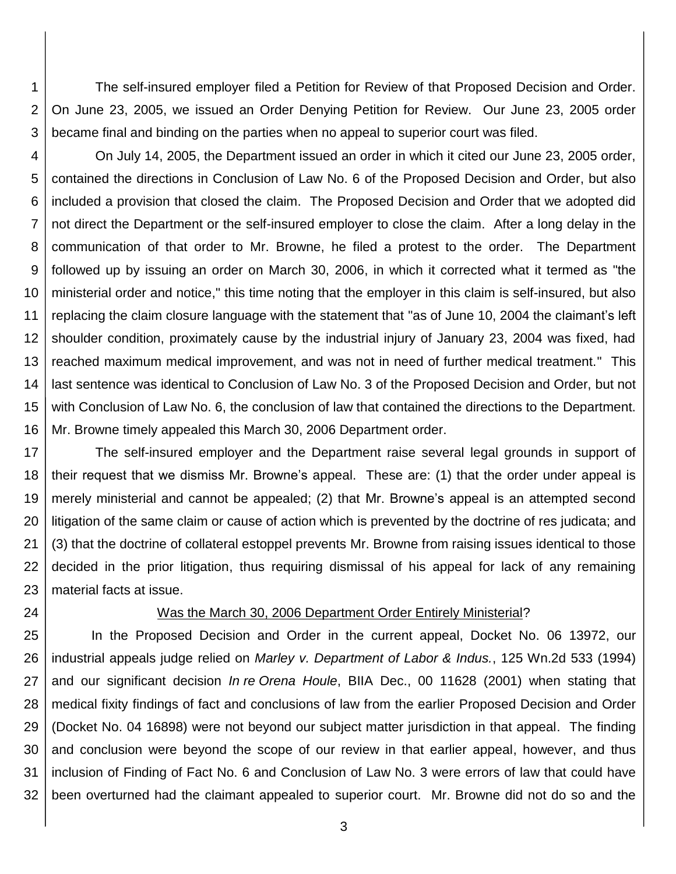1 2 The self-insured employer filed a Petition for Review of that Proposed Decision and Order. On June 23, 2005, we issued an Order Denying Petition for Review. Our June 23, 2005 order became final and binding on the parties when no appeal to superior court was filed.

3

4 5 6 7 8 9 10 11 12 13 14 15 16 On July 14, 2005, the Department issued an order in which it cited our June 23, 2005 order, contained the directions in Conclusion of Law No. 6 of the Proposed Decision and Order, but also included a provision that closed the claim. The Proposed Decision and Order that we adopted did not direct the Department or the self-insured employer to close the claim. After a long delay in the communication of that order to Mr. Browne, he filed a protest to the order. The Department followed up by issuing an order on March 30, 2006, in which it corrected what it termed as "the ministerial order and notice," this time noting that the employer in this claim is self-insured, but also replacing the claim closure language with the statement that "as of June 10, 2004 the claimant's left shoulder condition, proximately cause by the industrial injury of January 23, 2004 was fixed, had reached maximum medical improvement, and was not in need of further medical treatment." This last sentence was identical to Conclusion of Law No. 3 of the Proposed Decision and Order, but not with Conclusion of Law No. 6, the conclusion of law that contained the directions to the Department. Mr. Browne timely appealed this March 30, 2006 Department order.

17 18 19 20 21 22 23 The self-insured employer and the Department raise several legal grounds in support of their request that we dismiss Mr. Browne's appeal. These are: (1) that the order under appeal is merely ministerial and cannot be appealed; (2) that Mr. Browne's appeal is an attempted second litigation of the same claim or cause of action which is prevented by the doctrine of res judicata; and (3) that the doctrine of collateral estoppel prevents Mr. Browne from raising issues identical to those decided in the prior litigation, thus requiring dismissal of his appeal for lack of any remaining material facts at issue.

24

### Was the March 30, 2006 Department Order Entirely Ministerial?

25 26 27 28 29 30 31 32 In the Proposed Decision and Order in the current appeal, Docket No. 06 13972, our industrial appeals judge relied on *Marley v. Department of Labor & Indus.*, 125 Wn.2d 533 (1994) and our significant decision *In re Orena Houle*, BIIA Dec., 00 11628 (2001) when stating that medical fixity findings of fact and conclusions of law from the earlier Proposed Decision and Order (Docket No. 04 16898) were not beyond our subject matter jurisdiction in that appeal. The finding and conclusion were beyond the scope of our review in that earlier appeal, however, and thus inclusion of Finding of Fact No. 6 and Conclusion of Law No. 3 were errors of law that could have been overturned had the claimant appealed to superior court. Mr. Browne did not do so and the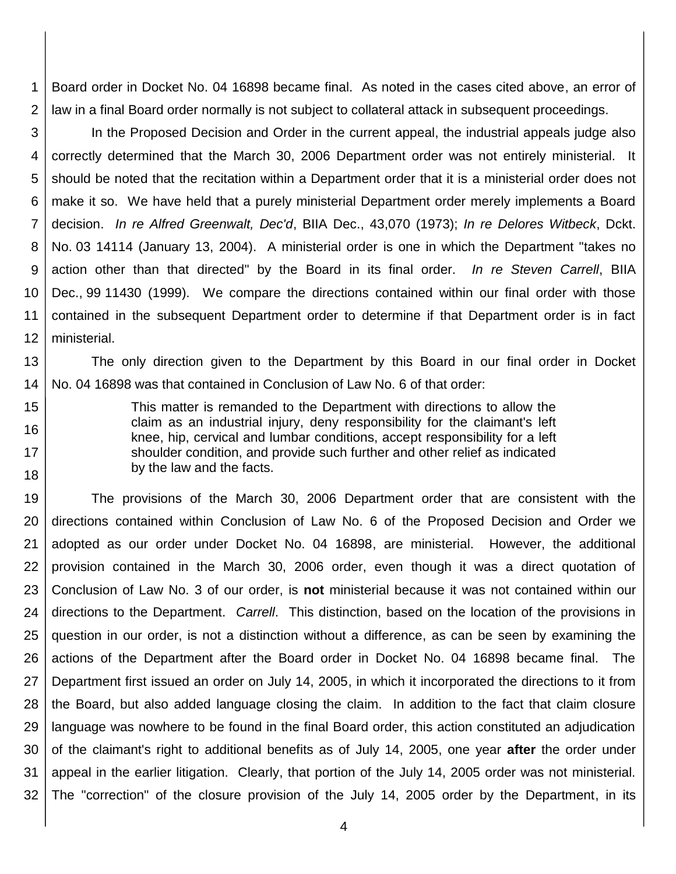1 2 Board order in Docket No. 04 16898 became final. As noted in the cases cited above, an error of law in a final Board order normally is not subject to collateral attack in subsequent proceedings.

3 4 5 6 7 8 9 10 11 12 In the Proposed Decision and Order in the current appeal, the industrial appeals judge also correctly determined that the March 30, 2006 Department order was not entirely ministerial. It should be noted that the recitation within a Department order that it is a ministerial order does not make it so. We have held that a purely ministerial Department order merely implements a Board decision. *In re Alfred Greenwalt, Dec'd*, BIIA Dec., 43,070 (1973); *In re Delores Witbeck*, Dckt. No. 03 14114 (January 13, 2004). A ministerial order is one in which the Department "takes no action other than that directed" by the Board in its final order. *In re Steven Carrell*, BIIA Dec., 99 11430 (1999). We compare the directions contained within our final order with those contained in the subsequent Department order to determine if that Department order is in fact ministerial.

13 14 The only direction given to the Department by this Board in our final order in Docket No. 04 16898 was that contained in Conclusion of Law No. 6 of that order:

> This matter is remanded to the Department with directions to allow the claim as an industrial injury, deny responsibility for the claimant's left knee, hip, cervical and lumbar conditions, accept responsibility for a left shoulder condition, and provide such further and other relief as indicated by the law and the facts.

15

16

17 18

19 20 21 22 23 24 25 26 27 28 29 30 31 32 The provisions of the March 30, 2006 Department order that are consistent with the directions contained within Conclusion of Law No. 6 of the Proposed Decision and Order we adopted as our order under Docket No. 04 16898, are ministerial. However, the additional provision contained in the March 30, 2006 order, even though it was a direct quotation of Conclusion of Law No. 3 of our order, is **not** ministerial because it was not contained within our directions to the Department. *Carrell*. This distinction, based on the location of the provisions in question in our order, is not a distinction without a difference, as can be seen by examining the actions of the Department after the Board order in Docket No. 04 16898 became final. The Department first issued an order on July 14, 2005, in which it incorporated the directions to it from the Board, but also added language closing the claim. In addition to the fact that claim closure language was nowhere to be found in the final Board order, this action constituted an adjudication of the claimant's right to additional benefits as of July 14, 2005, one year **after** the order under appeal in the earlier litigation. Clearly, that portion of the July 14, 2005 order was not ministerial. The "correction" of the closure provision of the July 14, 2005 order by the Department, in its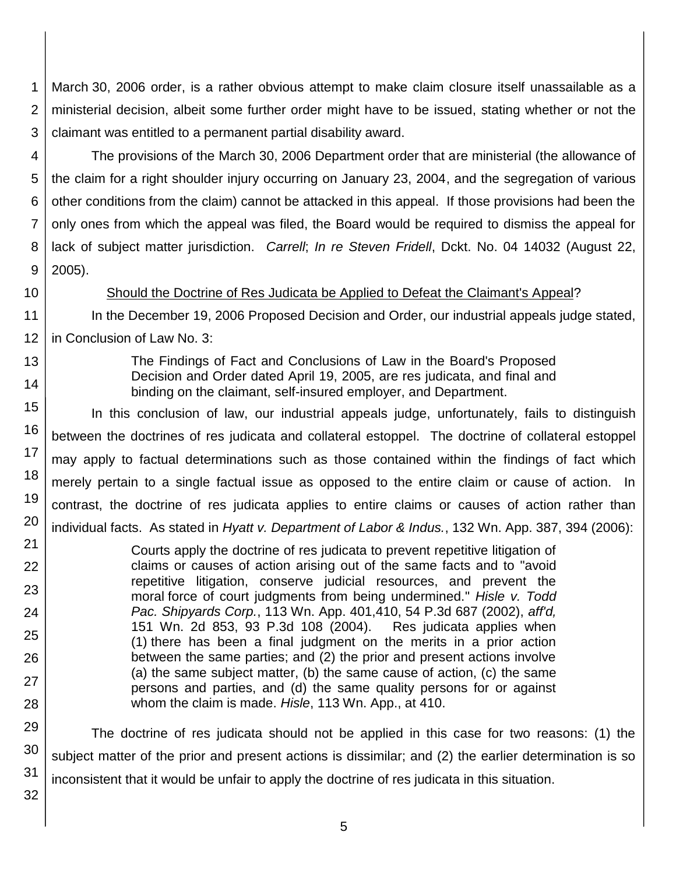1 2 3 March 30, 2006 order, is a rather obvious attempt to make claim closure itself unassailable as a ministerial decision, albeit some further order might have to be issued, stating whether or not the claimant was entitled to a permanent partial disability award.

4 5 6 7 8 9 The provisions of the March 30, 2006 Department order that are ministerial (the allowance of the claim for a right shoulder injury occurring on January 23, 2004, and the segregation of various other conditions from the claim) cannot be attacked in this appeal. If those provisions had been the only ones from which the appeal was filed, the Board would be required to dismiss the appeal for lack of subject matter jurisdiction. *Carrell*; *In re Steven Fridell*, Dckt. No. 04 14032 (August 22, 2005).

10

### Should the Doctrine of Res Judicata be Applied to Defeat the Claimant's Appeal?

11 12 In the December 19, 2006 Proposed Decision and Order, our industrial appeals judge stated, in Conclusion of Law No. 3:

13

14

16

17 18

19

20

21

22

23

24 25

26

27

28

The Findings of Fact and Conclusions of Law in the Board's Proposed Decision and Order dated April 19, 2005, are res judicata, and final and binding on the claimant, self-insured employer, and Department.

15 In this conclusion of law, our industrial appeals judge, unfortunately, fails to distinguish between the doctrines of res judicata and collateral estoppel. The doctrine of collateral estoppel may apply to factual determinations such as those contained within the findings of fact which merely pertain to a single factual issue as opposed to the entire claim or cause of action. In contrast, the doctrine of res judicata applies to entire claims or causes of action rather than individual facts. As stated in *Hyatt v. Department of Labor & Indus.*, 132 Wn. App. 387, 394 (2006):

> Courts apply the doctrine of res judicata to prevent repetitive litigation of claims or causes of action arising out of the same facts and to "avoid repetitive litigation, conserve judicial resources, and prevent the moral force of court judgments from being undermined." *Hisle v. Todd Pac. Shipyards Corp.*, 113 Wn. App. 401,410, 54 P.3d 687 (2002), *aff'd,*  151 Wn. 2d 853, 93 P.3d 108 (2004). Res judicata applies when (1) there has been a final judgment on the merits in a prior action between the same parties; and (2) the prior and present actions involve (a) the same subject matter, (b) the same cause of action, (c) the same persons and parties, and (d) the same quality persons for or against whom the claim is made. *Hisle*, 113 Wn. App., at 410.

29 30 31 The doctrine of res judicata should not be applied in this case for two reasons: (1) the subject matter of the prior and present actions is dissimilar; and (2) the earlier determination is so inconsistent that it would be unfair to apply the doctrine of res judicata in this situation.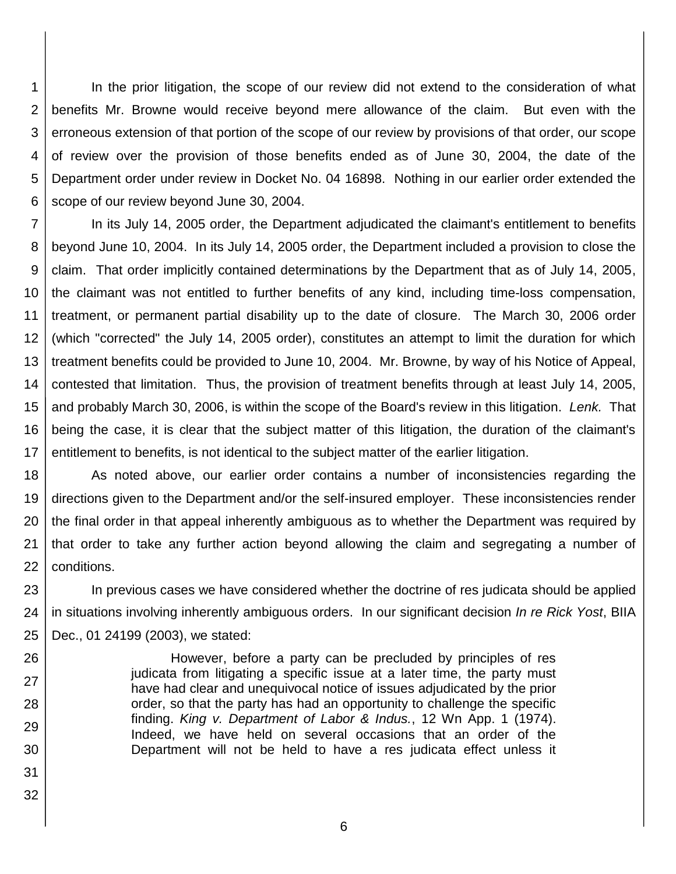1 2 3 4 5 6 In the prior litigation, the scope of our review did not extend to the consideration of what benefits Mr. Browne would receive beyond mere allowance of the claim. But even with the erroneous extension of that portion of the scope of our review by provisions of that order, our scope of review over the provision of those benefits ended as of June 30, 2004, the date of the Department order under review in Docket No. 04 16898. Nothing in our earlier order extended the scope of our review beyond June 30, 2004.

7 8 9 10 11 12 13 14 15 16 17 In its July 14, 2005 order, the Department adjudicated the claimant's entitlement to benefits beyond June 10, 2004. In its July 14, 2005 order, the Department included a provision to close the claim. That order implicitly contained determinations by the Department that as of July 14, 2005, the claimant was not entitled to further benefits of any kind, including time-loss compensation, treatment, or permanent partial disability up to the date of closure. The March 30, 2006 order (which "corrected" the July 14, 2005 order), constitutes an attempt to limit the duration for which treatment benefits could be provided to June 10, 2004. Mr. Browne, by way of his Notice of Appeal, contested that limitation. Thus, the provision of treatment benefits through at least July 14, 2005, and probably March 30, 2006, is within the scope of the Board's review in this litigation. *Lenk.* That being the case, it is clear that the subject matter of this litigation, the duration of the claimant's entitlement to benefits, is not identical to the subject matter of the earlier litigation.

18 19 20 21 22 As noted above, our earlier order contains a number of inconsistencies regarding the directions given to the Department and/or the self-insured employer. These inconsistencies render the final order in that appeal inherently ambiguous as to whether the Department was required by that order to take any further action beyond allowing the claim and segregating a number of conditions.

23 24 25 In previous cases we have considered whether the doctrine of res judicata should be applied in situations involving inherently ambiguous orders. In our significant decision *In re Rick Yost*, BIIA Dec., 01 24199 (2003), we stated:

> However, before a party can be precluded by principles of res judicata from litigating a specific issue at a later time, the party must have had clear and unequivocal notice of issues adjudicated by the prior order, so that the party has had an opportunity to challenge the specific finding. *King v. Department of Labor & Indus.*, 12 Wn App. 1 (1974). Indeed, we have held on several occasions that an order of the Department will not be held to have a res judicata effect unless it

31 32

26

27

28

29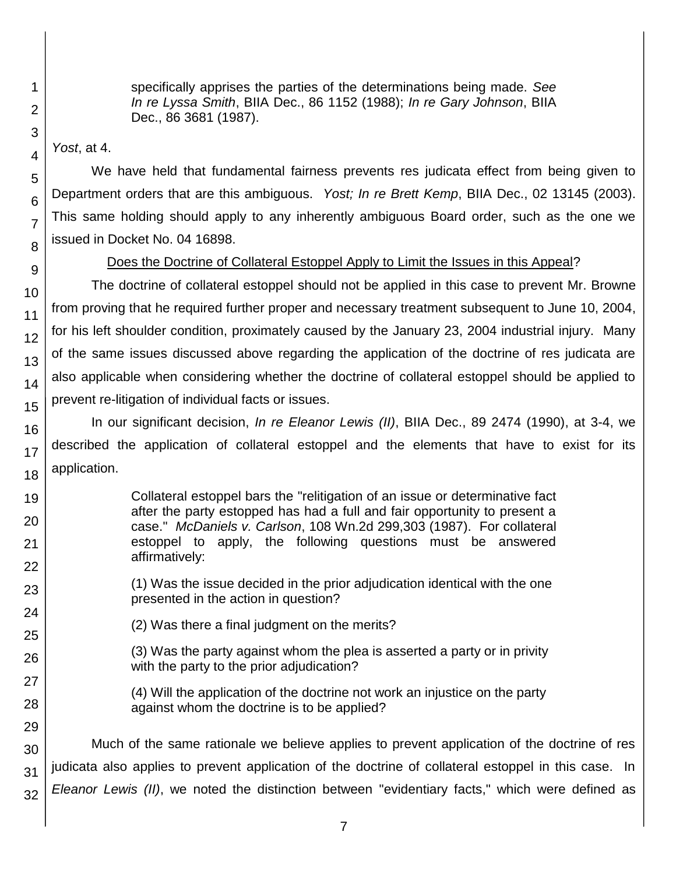specifically apprises the parties of the determinations being made. *See In re Lyssa Smith*, BIIA Dec., 86 1152 (1988); *In re Gary Johnson*, BIIA Dec., 86 3681 (1987).

## *Yost*, at 4.

We have held that fundamental fairness prevents res judicata effect from being given to Department orders that are this ambiguous. *Yost; In re Brett Kemp*, BIIA Dec., 02 13145 (2003). This same holding should apply to any inherently ambiguous Board order, such as the one we issued in Docket No. 04 16898.

## Does the Doctrine of Collateral Estoppel Apply to Limit the Issues in this Appeal?

The doctrine of collateral estoppel should not be applied in this case to prevent Mr. Browne from proving that he required further proper and necessary treatment subsequent to June 10, 2004, for his left shoulder condition, proximately caused by the January 23, 2004 industrial injury. Many of the same issues discussed above regarding the application of the doctrine of res judicata are also applicable when considering whether the doctrine of collateral estoppel should be applied to prevent re-litigation of individual facts or issues.

In our significant decision, *In re Eleanor Lewis (II)*, BIIA Dec., 89 2474 (1990), at 3-4, we described the application of collateral estoppel and the elements that have to exist for its application.

- Collateral estoppel bars the "relitigation of an issue or determinative fact after the party estopped has had a full and fair opportunity to present a case." *McDaniels v. Carlson*, 108 Wn.2d 299,303 (1987). For collateral estoppel to apply, the following questions must be answered affirmatively:
- (1) Was the issue decided in the prior adjudication identical with the one presented in the action in question?
	- (2) Was there a final judgment on the merits?
- (3) Was the party against whom the plea is asserted a party or in privity with the party to the prior adjudication?
	- (4) Will the application of the doctrine not work an injustice on the party against whom the doctrine is to be applied?

32 Much of the same rationale we believe applies to prevent application of the doctrine of res judicata also applies to prevent application of the doctrine of collateral estoppel in this case. In *Eleanor Lewis (II)*, we noted the distinction between "evidentiary facts," which were defined as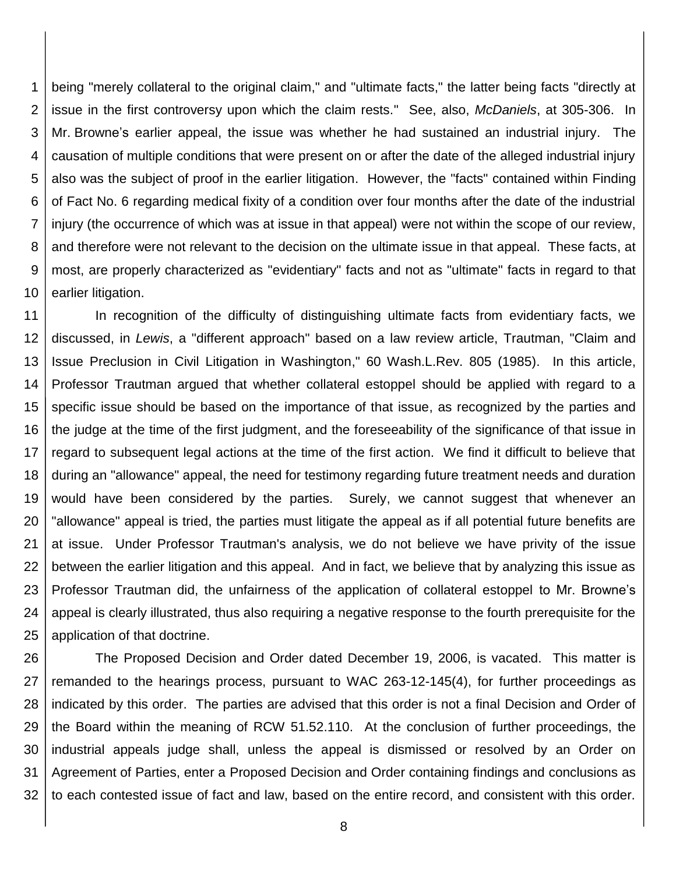1 2 3 4 5 6 7 8 9 10 being "merely collateral to the original claim," and "ultimate facts," the latter being facts "directly at issue in the first controversy upon which the claim rests." See, also, *McDaniels*, at 305-306. In Mr. Browne's earlier appeal, the issue was whether he had sustained an industrial injury. The causation of multiple conditions that were present on or after the date of the alleged industrial injury also was the subject of proof in the earlier litigation. However, the "facts" contained within Finding of Fact No. 6 regarding medical fixity of a condition over four months after the date of the industrial injury (the occurrence of which was at issue in that appeal) were not within the scope of our review, and therefore were not relevant to the decision on the ultimate issue in that appeal. These facts, at most, are properly characterized as "evidentiary" facts and not as "ultimate" facts in regard to that earlier litigation.

11 12 13 14 15 16 17 18 19 20 21 22 23 24 25 In recognition of the difficulty of distinguishing ultimate facts from evidentiary facts, we discussed, in *Lewis*, a "different approach" based on a law review article, Trautman, "Claim and Issue Preclusion in Civil Litigation in Washington," 60 Wash.L.Rev. 805 (1985). In this article, Professor Trautman argued that whether collateral estoppel should be applied with regard to a specific issue should be based on the importance of that issue, as recognized by the parties and the judge at the time of the first judgment, and the foreseeability of the significance of that issue in regard to subsequent legal actions at the time of the first action. We find it difficult to believe that during an "allowance" appeal, the need for testimony regarding future treatment needs and duration would have been considered by the parties. Surely, we cannot suggest that whenever an "allowance" appeal is tried, the parties must litigate the appeal as if all potential future benefits are at issue. Under Professor Trautman's analysis, we do not believe we have privity of the issue between the earlier litigation and this appeal. And in fact, we believe that by analyzing this issue as Professor Trautman did, the unfairness of the application of collateral estoppel to Mr. Browne's appeal is clearly illustrated, thus also requiring a negative response to the fourth prerequisite for the application of that doctrine.

26 27 28 29 30 31 32 The Proposed Decision and Order dated December 19, 2006, is vacated. This matter is remanded to the hearings process, pursuant to WAC 263-12-145(4), for further proceedings as indicated by this order. The parties are advised that this order is not a final Decision and Order of the Board within the meaning of RCW 51.52.110. At the conclusion of further proceedings, the industrial appeals judge shall, unless the appeal is dismissed or resolved by an Order on Agreement of Parties, enter a Proposed Decision and Order containing findings and conclusions as to each contested issue of fact and law, based on the entire record, and consistent with this order.